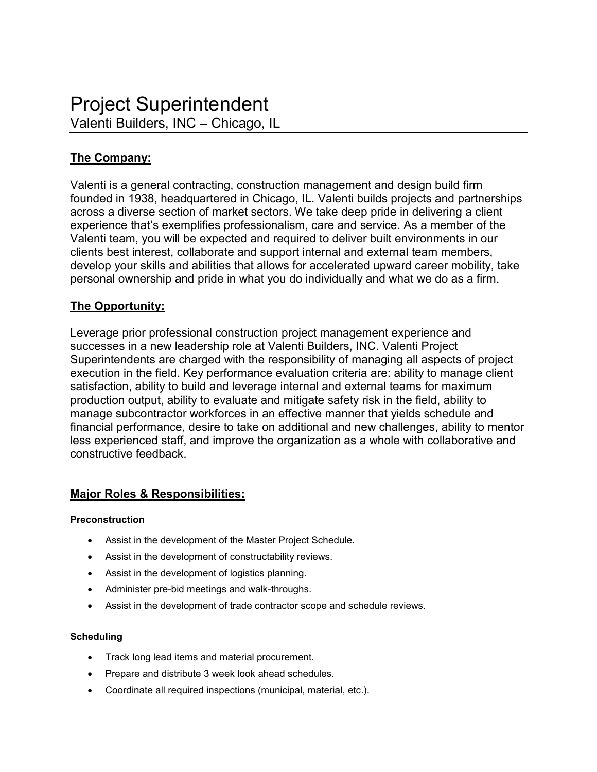# **The Company:**

Valenti is a general contracting, construction management and design build firm founded in 1938, headquartered in Chicago, IL. Valenti builds projects and partnerships across a diverse section of market sectors. We take deep pride in delivering a client experience that's exemplifies professionalism, care and service. As a member of the Valenti team, you will be expected and required to deliver built environments in our clients best interest, collaborate and support internal and external team members, develop your skills and abilities that allows for accelerated upward career mobility, take personal ownership and pride in what you do individually and what we do as a firm.

### **The Opportunity:**

Leverage prior professional construction project management experience and successes in a new leadership role at Valenti Builders, INC. Valenti Project Superintendents are charged with the responsibility of managing all aspects of project execution in the field. Key performance evaluation criteria are: ability to manage client satisfaction, ability to build and leverage internal and external teams for maximum production output, ability to evaluate and mitigate safety risk in the field, ability to manage subcontractor workforces in an effective manner that yields schedule and financial performance, desire to take on additional and new challenges, ability to mentor less experienced staff, and improve the organization as a whole with collaborative and constructive feedback.

## **Major Roles & Responsibilities:**

### **Preconstruction**

- Assist in the development of the Master Project Schedule.
- Assist in the development of constructability reviews.
- Assist in the development of logistics planning.
- Administer pre-bid meetings and walk-throughs.
- Assist in the development of trade contractor scope and schedule reviews.

### **Scheduling**

- Track long lead items and material procurement.
- Prepare and distribute 3 week look ahead schedules.
- Coordinate all required inspections (municipal, material, etc.).